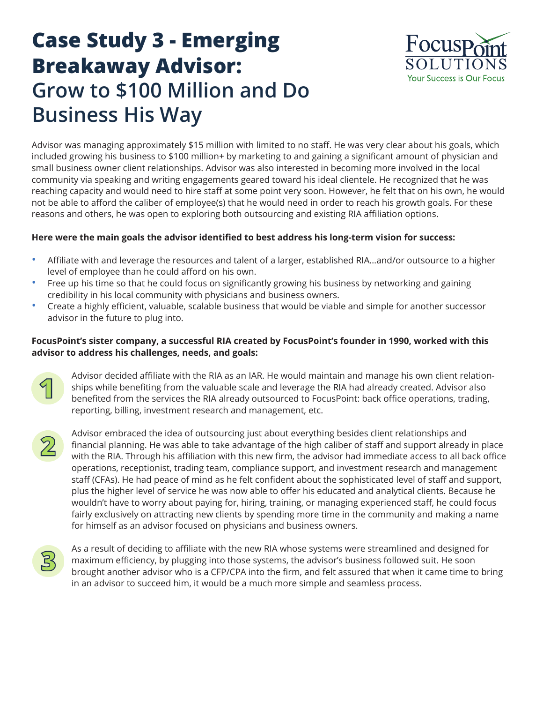## **Case Study 3 - Emerging Breakaway Advisor: Grow to \$100 Million and Do Business His Way**



Advisor was managing approximately \$15 million with limited to no staff. He was very clear about his goals, which included growing his business to \$100 million+ by marketing to and gaining a significant amount of physician and small business owner client relationships. Advisor was also interested in becoming more involved in the local community via speaking and writing engagements geared toward his ideal clientele. He recognized that he was reaching capacity and would need to hire staff at some point very soon. However, he felt that on his own, he would not be able to afford the caliber of employee(s) that he would need in order to reach his growth goals. For these reasons and others, he was open to exploring both outsourcing and existing RIA affiliation options.

## **Here were the main goals the advisor identified to best address his long-term vision for success:**

- Affiliate with and leverage the resources and talent of a larger, established RIA…and/or outsource to a higher level of employee than he could afford on his own.
- Free up his time so that he could focus on significantly growing his business by networking and gaining credibility in his local community with physicians and business owners.
- Create a highly efficient, valuable, scalable business that would be viable and simple for another successor advisor in the future to plug into.

## **FocusPoint's sister company, a successful RIA created by FocusPoint's founder in 1990, worked with this advisor to address his challenges, needs, and goals:**



Advisor decided affiliate with the RIA as an IAR. He would maintain and manage his own client relationships while benefiting from the valuable scale and leverage the RIA had already created. Advisor also benefited from the services the RIA already outsourced to FocusPoint: back office operations, trading, reporting, billing, investment research and management, etc.



Advisor embraced the idea of outsourcing just about everything besides client relationships and financial planning. He was able to take advantage of the high caliber of staff and support already in place with the RIA. Through his affiliation with this new firm, the advisor had immediate access to all back office operations, receptionist, trading team, compliance support, and investment research and management staff (CFAs). He had peace of mind as he felt confident about the sophisticated level of staff and support, plus the higher level of service he was now able to offer his educated and analytical clients. Because he wouldn't have to worry about paying for, hiring, training, or managing experienced staff, he could focus fairly exclusively on attracting new clients by spending more time in the community and making a name for himself as an advisor focused on physicians and business owners.



As a result of deciding to affiliate with the new RIA whose systems were streamlined and designed for maximum efficiency, by plugging into those systems, the advisor's business followed suit. He soon brought another advisor who is a CFP/CPA into the firm, and felt assured that when it came time to bring in an advisor to succeed him, it would be a much more simple and seamless process.